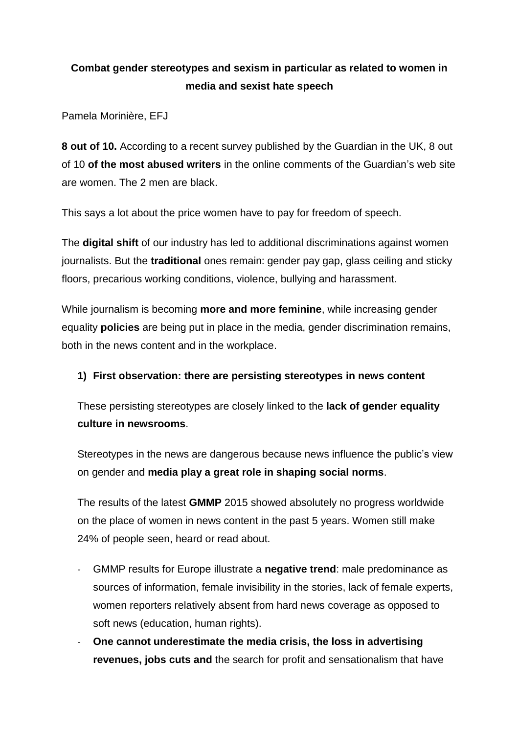## **Combat gender stereotypes and sexism in particular as related to women in media and sexist hate speech**

Pamela Morinière, EFJ

**8 out of 10.** According to a recent survey published by the Guardian in the UK, 8 out of 10 **of the most abused writers** in the online comments of the Guardian's web site are women. The 2 men are black.

This says a lot about the price women have to pay for freedom of speech.

The **digital shift** of our industry has led to additional discriminations against women journalists. But the **traditional** ones remain: gender pay gap, glass ceiling and sticky floors, precarious working conditions, violence, bullying and harassment.

While journalism is becoming **more and more feminine**, while increasing gender equality **policies** are being put in place in the media, gender discrimination remains, both in the news content and in the workplace.

## **1) First observation: there are persisting stereotypes in news content**

These persisting stereotypes are closely linked to the **lack of gender equality culture in newsrooms**.

Stereotypes in the news are dangerous because news influence the public's view on gender and **media play a great role in shaping social norms**.

The results of the latest **GMMP** 2015 showed absolutely no progress worldwide on the place of women in news content in the past 5 years. Women still make 24% of people seen, heard or read about.

- GMMP results for Europe illustrate a **negative trend**: male predominance as sources of information, female invisibility in the stories, lack of female experts, women reporters relatively absent from hard news coverage as opposed to soft news (education, human rights).
- **One cannot underestimate the media crisis, the loss in advertising revenues, jobs cuts and** the search for profit and sensationalism that have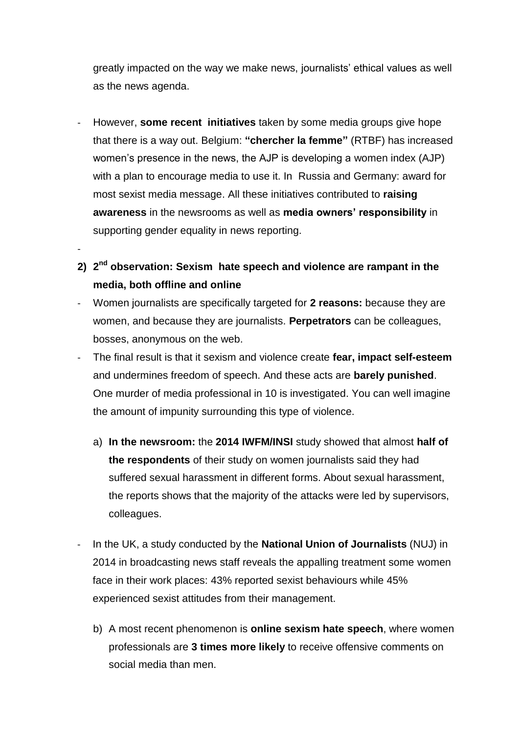greatly impacted on the way we make news, journalists' ethical values as well as the news agenda.

- However, **some recent initiatives** taken by some media groups give hope that there is a way out. Belgium: **"chercher la femme"** (RTBF) has increased women's presence in the news, the AJP is developing a women index (AJP) with a plan to encourage media to use it. In Russia and Germany: award for most sexist media message. All these initiatives contributed to **raising awareness** in the newsrooms as well as **media owners' responsibility** in supporting gender equality in news reporting.
- **2) 2 nd observation: Sexism hate speech and violence are rampant in the media, both offline and online**

-

- Women journalists are specifically targeted for **2 reasons:** because they are women, and because they are journalists. **Perpetrators** can be colleagues, bosses, anonymous on the web.
- The final result is that it sexism and violence create **fear, impact self-esteem** and undermines freedom of speech. And these acts are **barely punished**. One murder of media professional in 10 is investigated. You can well imagine the amount of impunity surrounding this type of violence.
	- a) **In the newsroom:** the **2014 IWFM/INSI** study showed that almost **half of the respondents** of their study on women journalists said they had suffered sexual harassment in different forms. About sexual harassment, the reports shows that the majority of the attacks were led by supervisors, colleagues.
- In the UK, a study conducted by the **National Union of Journalists** (NUJ) in 2014 in broadcasting news staff reveals the appalling treatment some women face in their work places: 43% reported sexist behaviours while 45% experienced sexist attitudes from their management.
	- b) A most recent phenomenon is **online sexism hate speech**, where women professionals are **3 times more likely** to receive offensive comments on social media than men.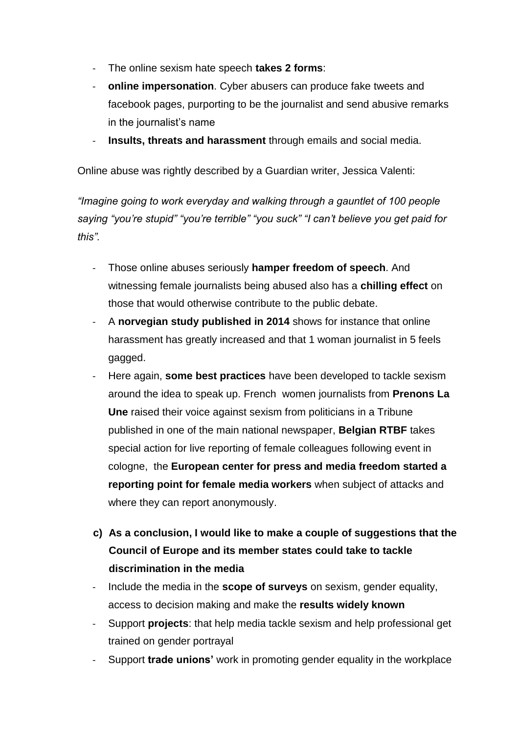- The online sexism hate speech **takes 2 forms**:
- **online impersonation**. Cyber abusers can produce fake tweets and facebook pages, purporting to be the journalist and send abusive remarks in the journalist's name
- **Insults, threats and harassment** through emails and social media.

Online abuse was rightly described by a Guardian writer, Jessica Valenti:

*"Imagine going to work everyday and walking through a gauntlet of 100 people saying "you're stupid" "you're terrible" "you suck" "I can't believe you get paid for this".*

- Those online abuses seriously **hamper freedom of speech**. And witnessing female journalists being abused also has a **chilling effect** on those that would otherwise contribute to the public debate.
- A **norvegian study published in 2014** shows for instance that online harassment has greatly increased and that 1 woman journalist in 5 feels gagged.
- Here again, **some best practices** have been developed to tackle sexism around the idea to speak up. French women journalists from **Prenons La Une** raised their voice against sexism from politicians in a Tribune published in one of the main national newspaper, **Belgian RTBF** takes special action for live reporting of female colleagues following event in cologne, the **European center for press and media freedom started a reporting point for female media workers** when subject of attacks and where they can report anonymously.
- **c) As a conclusion, I would like to make a couple of suggestions that the Council of Europe and its member states could take to tackle discrimination in the media**
- Include the media in the **scope of surveys** on sexism, gender equality, access to decision making and make the **results widely known**
- Support **projects**: that help media tackle sexism and help professional get trained on gender portrayal
- Support **trade unions'** work in promoting gender equality in the workplace